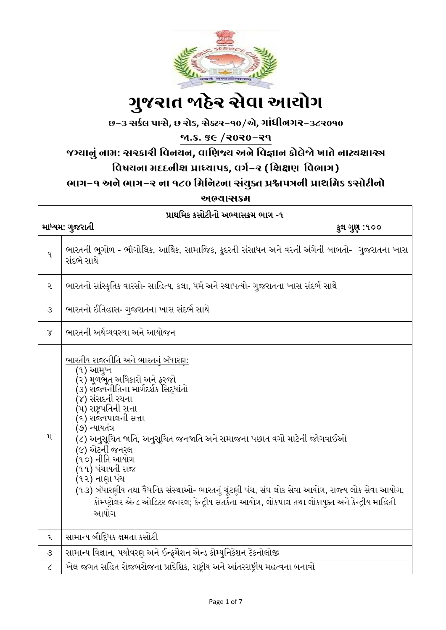

# ગ ુજરાત જાહેર સેવા આયોગ

છ-૩ સર્કલ પાસે**,** છ રોડ**,** સેક્ટર-૧૦/એ**,** ગાાંધીનગર-૩૮૨૦૧૦

જા.ક્ર. ૬૯ /૨૦૨૦-૨૧

## જગ્યાનુાં નામ: સરર્ારી વવનયન**,** વાવિજ્ય અને વવજ્ઞાન ર્ોલેજો ખાતે નાટ્યશાસ્ત્ર

## વિષયના મદદનીશ પ્રાધ્યાપક, વર્ગ-ર (શિક્ષણ વિભાગ)

ભાગ-૧ અને ભાગ-૨ ના ૧૮૦ વમવનટના સાંયુક્ત પ્રશ્નપત્રની પ્રાથવમર્ ર્સોટીનો

અભ્યાસક્રમ

| પ્રાથમિક કસોટીનો અભ્યાસક્રમ ભાગ -૧ |                                                                                                                                                                                                                                                                                                                                                                                                                                                                                                                                                                                      |  |
|------------------------------------|--------------------------------------------------------------------------------------------------------------------------------------------------------------------------------------------------------------------------------------------------------------------------------------------------------------------------------------------------------------------------------------------------------------------------------------------------------------------------------------------------------------------------------------------------------------------------------------|--|
| માધ્યમ: ગુજરાતી<br>કુલ ગુણ :૧૦૦    |                                                                                                                                                                                                                                                                                                                                                                                                                                                                                                                                                                                      |  |
| 9.                                 | ભારતની ભૂગોળ - ભૌગોલિક, આર્થિક, સામાજિક, કુદરતી સંસાધન અને વસ્તી અંગેની બાબતો-  ગુજરાતના ખાસ<br>સંદર્ભ સાથે                                                                                                                                                                                                                                                                                                                                                                                                                                                                          |  |
| ર                                  | ભારતનો સાંસ્કૃતિક વારસો- સાહિત્ય, કલા, ધર્મ અને સ્થાપત્યો- ગુજરાતના ખાસ સંદર્ભ સાથે                                                                                                                                                                                                                                                                                                                                                                                                                                                                                                  |  |
| $\mathcal{S}$                      | ભારતનો ઈતિહાસ- ગુજરાતના ખાસ સંદર્ભ સાથે                                                                                                                                                                                                                                                                                                                                                                                                                                                                                                                                              |  |
| $\chi$                             | ભારતની અર્થવ્યવસ્થા અને આયોજન                                                                                                                                                                                                                                                                                                                                                                                                                                                                                                                                                        |  |
| $\mathbf{u}$                       | <u>ભારતીય રાજનીતિ અને ભારતનું બંધારણ:</u><br>(૧) આમુખ<br>(૨) મૂળભુત અધિકારો અને ફરજો<br>(૩) રોજ્યનીતિના માર્ગદર્શક સિદ્ધાંતો<br>(૪) સંસદની રચના<br>(૫) રાષ્ટ્રપતિની સત્તા<br>(૬) રાજ્યપાલની સત્તા<br>(૭) ન્યાયતંત્ર<br>(૮) અનુસૂચિત જાતિ, અનુસૂચિત જનજાતિ અને સમાજના પછાત વર્ગો માટેની જોગવાઈઓ<br>(૯) એટર્ની જનરલ<br>(૧૦) નીતિ આયોગ<br>(૧૧) પંચાયતી રાજ<br>(૧૨) નાણા પંચ<br>(૧૩) બંધારણીય તથા વૈધનિક સંસ્થાઓ- ભારતનું ચૂંટણી પંચ, સંઘ લોક સેવા આયોગ, રાજ્ય લોક સેવા આયોગ,<br>કોમ્પ્ટ્રોલર એન્ડ ઓડિટર જનરલ; કેન્દ્રીય સતર્કતા આયોગ, લોકપાલ તથા લોકાયુક્ત અને કેન્દ્રીય માહિતી<br>આયોગ |  |
| ૬                                  | સામાન્ય બૌદ્ધિક ક્ષમતા કસોટી                                                                                                                                                                                                                                                                                                                                                                                                                                                                                                                                                         |  |
| ৩                                  | સામાન્ય વિજ્ઞાન, પર્યાવરણ અને ઈન્ફર્મેશન એન્ડ કોમ્યુનિકેશન ટેકનોલોજી                                                                                                                                                                                                                                                                                                                                                                                                                                                                                                                 |  |
| $\mathcal{L}_{\mathcal{L}}$        | ખેલ જગત સહિત રોજબરોજના પ્રાદેશિક, રાષ્ટ્રીય અને આંતરરાષ્ટ્રીય મહત્વના બનાવો                                                                                                                                                                                                                                                                                                                                                                                                                                                                                                          |  |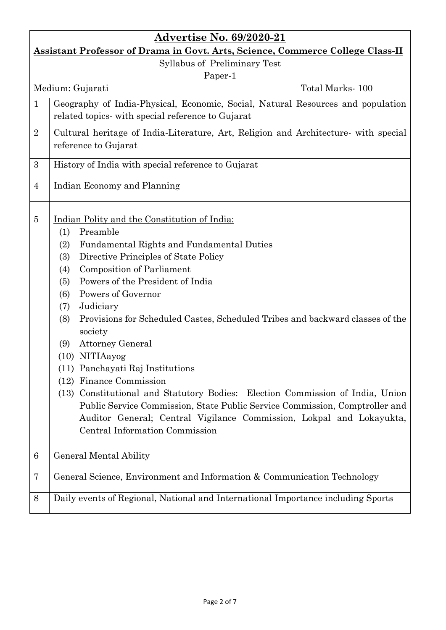| <b>Advertise No. 69/2020-21</b>                                                       |                                                                                      |  |
|---------------------------------------------------------------------------------------|--------------------------------------------------------------------------------------|--|
| <b>Assistant Professor of Drama in Govt. Arts, Science, Commerce College Class-II</b> |                                                                                      |  |
| Syllabus of Preliminary Test                                                          |                                                                                      |  |
| Paper-1                                                                               |                                                                                      |  |
|                                                                                       | Total Marks-100<br>Medium: Gujarati                                                  |  |
| $\mathbf{1}$                                                                          | Geography of India-Physical, Economic, Social, Natural Resources and population      |  |
|                                                                                       | related topics- with special reference to Gujarat                                    |  |
| $\overline{2}$                                                                        | Cultural heritage of India-Literature, Art, Religion and Architecture- with special  |  |
|                                                                                       | reference to Gujarat                                                                 |  |
| 3                                                                                     | History of India with special reference to Gujarat                                   |  |
| $\overline{4}$                                                                        | Indian Economy and Planning                                                          |  |
| $\overline{5}$                                                                        | Indian Polity and the Constitution of India:                                         |  |
|                                                                                       | Preamble<br>(1)                                                                      |  |
|                                                                                       | <b>Fundamental Rights and Fundamental Duties</b><br>(2)                              |  |
|                                                                                       | Directive Principles of State Policy<br>(3)                                          |  |
|                                                                                       | <b>Composition of Parliament</b><br>(4)                                              |  |
|                                                                                       | Powers of the President of India<br>(5)                                              |  |
|                                                                                       | Powers of Governor<br>(6)                                                            |  |
|                                                                                       | Judiciary<br>(7)                                                                     |  |
|                                                                                       | Provisions for Scheduled Castes, Scheduled Tribes and backward classes of the<br>(8) |  |
|                                                                                       | society                                                                              |  |
|                                                                                       | <b>Attorney General</b><br>(9)                                                       |  |
|                                                                                       | (10) NITIAayog                                                                       |  |
|                                                                                       | (11) Panchayati Raj Institutions                                                     |  |
|                                                                                       | (12) Finance Commission                                                              |  |
|                                                                                       | (13) Constitutional and Statutory Bodies: Election Commission of India, Union        |  |
|                                                                                       | Public Service Commission, State Public Service Commission, Comptroller and          |  |
|                                                                                       | Auditor General; Central Vigilance Commission, Lokpal and Lokayukta,                 |  |
|                                                                                       | Central Information Commission                                                       |  |
| $6\phantom{.}6$                                                                       | <b>General Mental Ability</b>                                                        |  |
| 7                                                                                     | General Science, Environment and Information & Communication Technology              |  |
| 8                                                                                     | Daily events of Regional, National and International Importance including Sports     |  |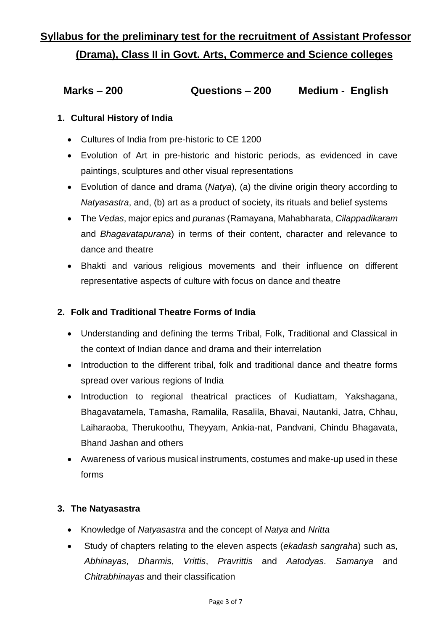# **Syllabus for the preliminary test for the recruitment of Assistant Professor (Drama), Class II in Govt. Arts, Commerce and Science colleges**

### **Marks – 200 Questions – 200 Medium - English**

#### **1. Cultural History of India**

- Cultures of India from pre-historic to CE 1200
- Evolution of Art in pre-historic and historic periods, as evidenced in cave paintings, sculptures and other visual representations
- Evolution of dance and drama (*Natya*), (a) the divine origin theory according to *Natyasastra*, and, (b) art as a product of society, its rituals and belief systems
- The *Vedas*, major epics and *puranas* (Ramayana, Mahabharata, *Cilappadikaram*  and *Bhagavatapurana*) in terms of their content, character and relevance to dance and theatre
- Bhakti and various religious movements and their influence on different representative aspects of culture with focus on dance and theatre

#### **2. Folk and Traditional Theatre Forms of India**

- Understanding and defining the terms Tribal, Folk, Traditional and Classical in the context of Indian dance and drama and their interrelation
- Introduction to the different tribal, folk and traditional dance and theatre forms spread over various regions of India
- Introduction to regional theatrical practices of Kudiattam, Yakshagana, Bhagavatamela, Tamasha, Ramalila, Rasalila, Bhavai, Nautanki, Jatra, Chhau, Laiharaoba, Therukoothu, Theyyam, Ankia-nat, Pandvani, Chindu Bhagavata, Bhand Jashan and others
- Awareness of various musical instruments, costumes and make-up used in these forms

#### **3. The Natyasastra**

- Knowledge of *Natyasastra* and the concept of *Natya* and *Nritta*
- Study of chapters relating to the eleven aspects (*ekadash sangraha*) such as, *Abhinayas*, *Dharmis*, *Vrittis*, *Pravrittis* and *Aatodyas*. *Samanya* and *Chitrabhinayas* and their classification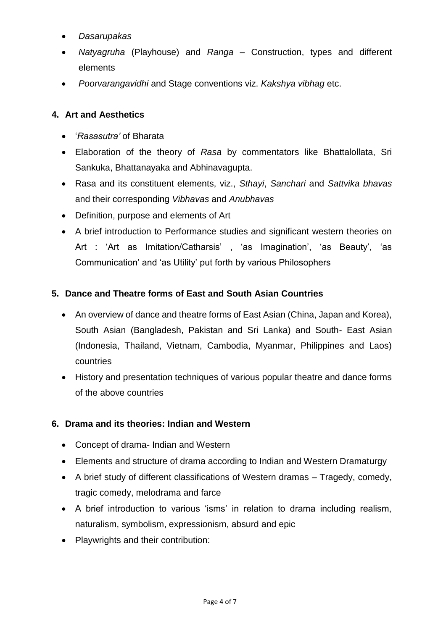- *Dasarupakas*
- *Natyagruha* (Playhouse) and *Ranga*  Construction, types and different elements
- *Poorvarangavidhi* and Stage conventions viz. *Kakshya vibhag* etc.

#### **4. Art and Aesthetics**

- '*Rasasutra'* of Bharata
- Elaboration of the theory of *Rasa* by commentators like Bhattalollata, Sri Sankuka, Bhattanayaka and Abhinavagupta.
- Rasa and its constituent elements, viz., *Sthayi*, *Sanchari* and *Sattvika bhavas*  and their corresponding *Vibhavas* and *Anubhavas*
- Definition, purpose and elements of Art
- A brief introduction to Performance studies and significant western theories on Art : 'Art as Imitation/Catharsis' , 'as Imagination', 'as Beauty', 'as Communication' and 'as Utility' put forth by various Philosophers

#### **5. Dance and Theatre forms of East and South Asian Countries**

- An overview of dance and theatre forms of East Asian (China, Japan and Korea), South Asian (Bangladesh, Pakistan and Sri Lanka) and South- East Asian (Indonesia, Thailand, Vietnam, Cambodia, Myanmar, Philippines and Laos) countries
- History and presentation techniques of various popular theatre and dance forms of the above countries

#### **6. Drama and its theories: Indian and Western**

- Concept of drama- Indian and Western
- Elements and structure of drama according to Indian and Western Dramaturgy
- A brief study of different classifications of Western dramas Tragedy, comedy, tragic comedy, melodrama and farce
- A brief introduction to various 'isms' in relation to drama including realism, naturalism, symbolism, expressionism, absurd and epic
- Playwrights and their contribution: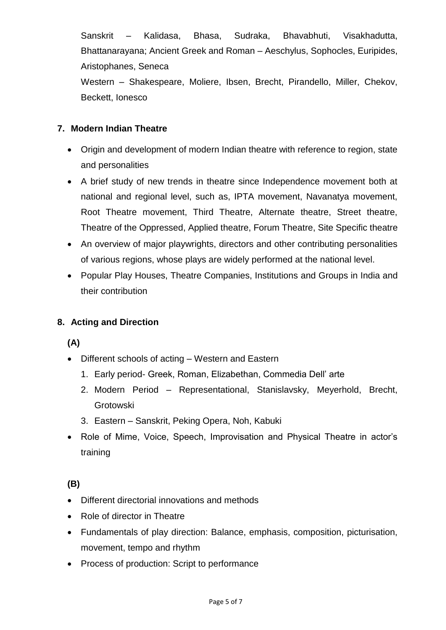Sanskrit – Kalidasa, Bhasa, Sudraka, Bhavabhuti, Visakhadutta, Bhattanarayana; Ancient Greek and Roman – Aeschylus, Sophocles, Euripides, Aristophanes, Seneca Western – Shakespeare, Moliere, Ibsen, Brecht, Pirandello, Miller, Chekov,

Beckett, Ionesco

#### **7. Modern Indian Theatre**

- Origin and development of modern Indian theatre with reference to region, state and personalities
- A brief study of new trends in theatre since Independence movement both at national and regional level, such as, IPTA movement, Navanatya movement, Root Theatre movement, Third Theatre, Alternate theatre, Street theatre, Theatre of the Oppressed, Applied theatre, Forum Theatre, Site Specific theatre
- An overview of major playwrights, directors and other contributing personalities of various regions, whose plays are widely performed at the national level.
- Popular Play Houses, Theatre Companies, Institutions and Groups in India and their contribution

#### **8. Acting and Direction**

#### **(A)**

- Different schools of acting Western and Eastern
	- 1. Early period- Greek, Roman, Elizabethan, Commedia Dell' arte
	- 2. Modern Period Representational, Stanislavsky, Meyerhold, Brecht, Grotowski
	- 3. Eastern Sanskrit, Peking Opera, Noh, Kabuki
- Role of Mime, Voice, Speech, Improvisation and Physical Theatre in actor's training

#### **(B)**

- Different directorial innovations and methods
- Role of director in Theatre
- Fundamentals of play direction: Balance, emphasis, composition, picturisation, movement, tempo and rhythm
- Process of production: Script to performance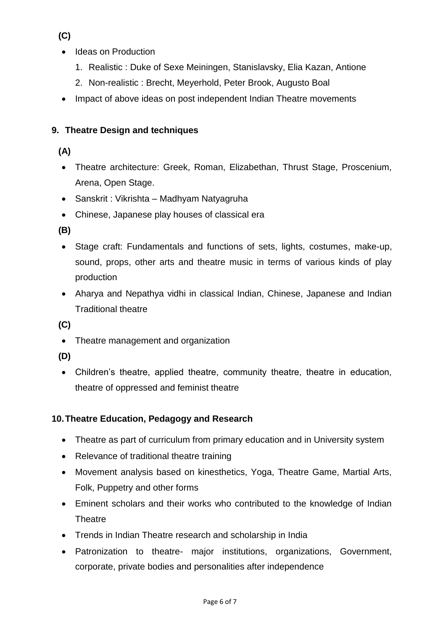**(C)** 

- Ideas on Production
	- 1. Realistic : Duke of Sexe Meiningen, Stanislavsky, Elia Kazan, Antione
	- 2. Non-realistic : Brecht, Meyerhold, Peter Brook, Augusto Boal
- Impact of above ideas on post independent Indian Theatre movements

#### **9. Theatre Design and techniques**

#### **(A)**

- Theatre architecture: Greek, Roman, Elizabethan, Thrust Stage, Proscenium, Arena, Open Stage.
- Sanskrit : Vikrishta Madhyam Natyagruha
- Chinese, Japanese play houses of classical era

**(B)** 

- Stage craft: Fundamentals and functions of sets, lights, costumes, make-up, sound, props, other arts and theatre music in terms of various kinds of play production
- Aharya and Nepathya vidhi in classical Indian, Chinese, Japanese and Indian Traditional theatre

**(C)** 

- Theatre management and organization
- **(D)**
- Children's theatre, applied theatre, community theatre, theatre in education, theatre of oppressed and feminist theatre

#### **10.Theatre Education, Pedagogy and Research**

- Theatre as part of curriculum from primary education and in University system
- Relevance of traditional theatre training
- Movement analysis based on kinesthetics, Yoga, Theatre Game, Martial Arts, Folk, Puppetry and other forms
- Eminent scholars and their works who contributed to the knowledge of Indian **Theatre**
- Trends in Indian Theatre research and scholarship in India
- Patronization to theatre- major institutions, organizations, Government, corporate, private bodies and personalities after independence